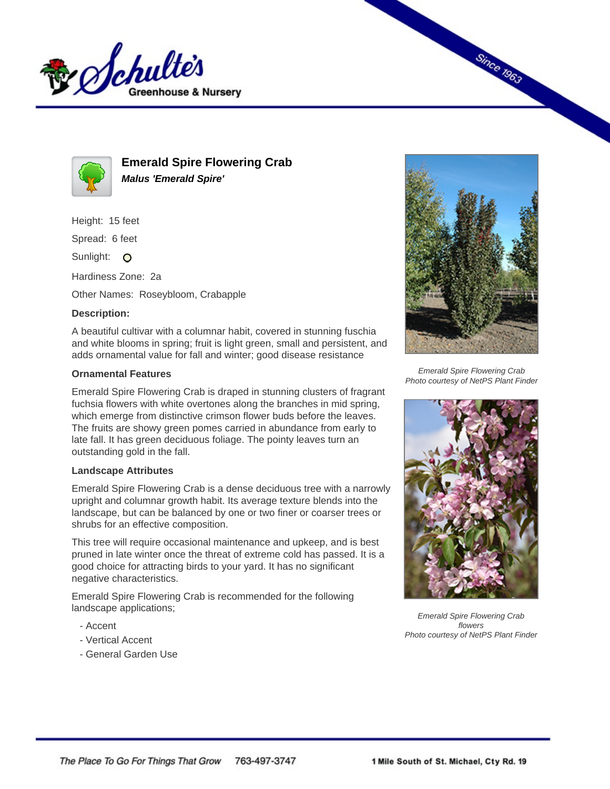



**Emerald Spire Flowering Crab Malus 'Emerald Spire'**

Height: 15 feet

Spread: 6 feet

Sunlight: O

Hardiness Zone: 2a

Other Names: Roseybloom, Crabapple

## **Description:**

A beautiful cultivar with a columnar habit, covered in stunning fuschia and white blooms in spring; fruit is light green, small and persistent, and adds ornamental value for fall and winter; good disease resistance

## **Ornamental Features**

Emerald Spire Flowering Crab is draped in stunning clusters of fragrant fuchsia flowers with white overtones along the branches in mid spring, which emerge from distinctive crimson flower buds before the leaves. The fruits are showy green pomes carried in abundance from early to late fall. It has green deciduous foliage. The pointy leaves turn an outstanding gold in the fall.

## **Landscape Attributes**

Emerald Spire Flowering Crab is a dense deciduous tree with a narrowly upright and columnar growth habit. Its average texture blends into the landscape, but can be balanced by one or two finer or coarser trees or shrubs for an effective composition.

This tree will require occasional maintenance and upkeep, and is best pruned in late winter once the threat of extreme cold has passed. It is a good choice for attracting birds to your yard. It has no significant negative characteristics.

Emerald Spire Flowering Crab is recommended for the following landscape applications;

- Accent
- Vertical Accent
- General Garden Use



**Since 1963** 

Emerald Spire Flowering Crab Photo courtesy of NetPS Plant Finder



Emerald Spire Flowering Crab flowers Photo courtesy of NetPS Plant Finder